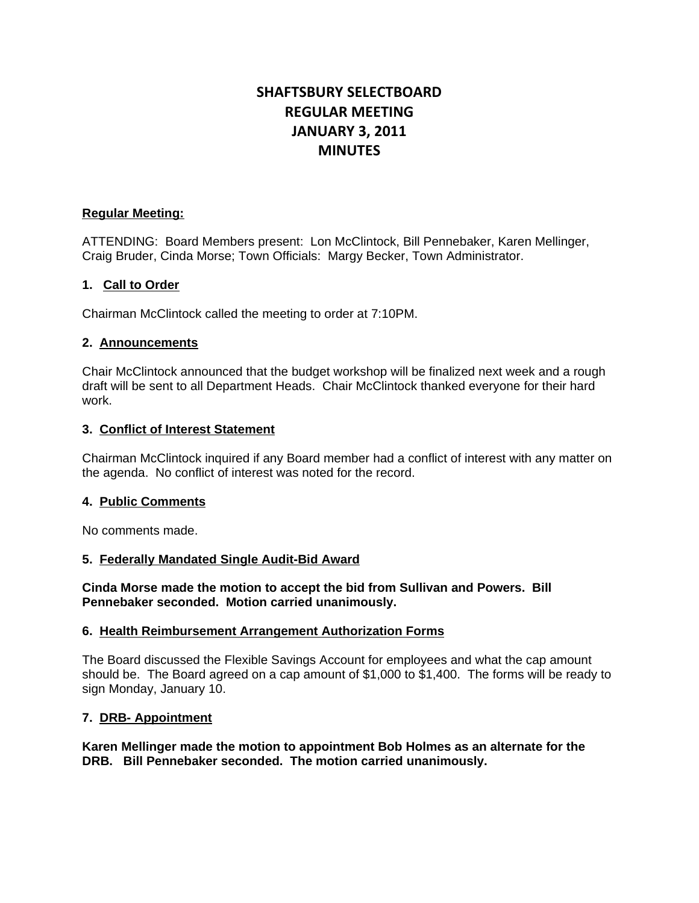# **SHAFTSBURY SELECTBOARD REGULAR MEETING JANUARY 3, 2011 MINUTES**

# **Regular Meeting:**

ATTENDING: Board Members present: Lon McClintock, Bill Pennebaker, Karen Mellinger, Craig Bruder, Cinda Morse; Town Officials: Margy Becker, Town Administrator.

# **1. Call to Order**

Chairman McClintock called the meeting to order at 7:10PM.

# **2. Announcements**

Chair McClintock announced that the budget workshop will be finalized next week and a rough draft will be sent to all Department Heads. Chair McClintock thanked everyone for their hard work.

# **3. Conflict of Interest Statement**

Chairman McClintock inquired if any Board member had a conflict of interest with any matter on the agenda. No conflict of interest was noted for the record.

### **4. Public Comments**

No comments made.

# **5. Federally Mandated Single Audit-Bid Award**

**Cinda Morse made the motion to accept the bid from Sullivan and Powers. Bill Pennebaker seconded. Motion carried unanimously.**

### **6. Health Reimbursement Arrangement Authorization Forms**

The Board discussed the Flexible Savings Account for employees and what the cap amount should be. The Board agreed on a cap amount of \$1,000 to \$1,400. The forms will be ready to sign Monday, January 10.

# **7. DRB- Appointment**

**Karen Mellinger made the motion to appointment Bob Holmes as an alternate for the DRB. Bill Pennebaker seconded. The motion carried unanimously.**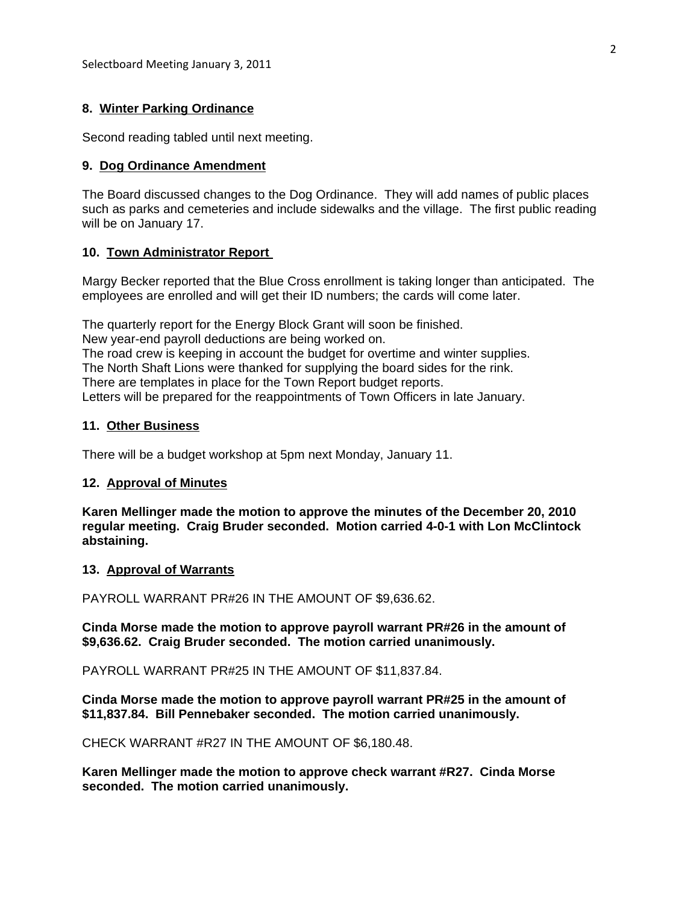### **8. Winter Parking Ordinance**

Second reading tabled until next meeting.

#### **9. Dog Ordinance Amendment**

The Board discussed changes to the Dog Ordinance. They will add names of public places such as parks and cemeteries and include sidewalks and the village. The first public reading will be on January 17.

#### **10. Town Administrator Report**

Margy Becker reported that the Blue Cross enrollment is taking longer than anticipated. The employees are enrolled and will get their ID numbers; the cards will come later.

The quarterly report for the Energy Block Grant will soon be finished. New year-end payroll deductions are being worked on. The road crew is keeping in account the budget for overtime and winter supplies. The North Shaft Lions were thanked for supplying the board sides for the rink. There are templates in place for the Town Report budget reports. Letters will be prepared for the reappointments of Town Officers in late January.

### **11. Other Business**

There will be a budget workshop at 5pm next Monday, January 11.

### **12. Approval of Minutes**

**Karen Mellinger made the motion to approve the minutes of the December 20, 2010 regular meeting. Craig Bruder seconded. Motion carried 4-0-1 with Lon McClintock abstaining.**

#### **13. Approval of Warrants**

PAYROLL WARRANT PR#26 IN THE AMOUNT OF \$9,636.62.

**Cinda Morse made the motion to approve payroll warrant PR#26 in the amount of \$9,636.62. Craig Bruder seconded. The motion carried unanimously.**

PAYROLL WARRANT PR#25 IN THE AMOUNT OF \$11,837.84.

**Cinda Morse made the motion to approve payroll warrant PR#25 in the amount of \$11,837.84. Bill Pennebaker seconded. The motion carried unanimously.**

CHECK WARRANT #R27 IN THE AMOUNT OF \$6,180.48.

**Karen Mellinger made the motion to approve check warrant #R27. Cinda Morse seconded. The motion carried unanimously.**